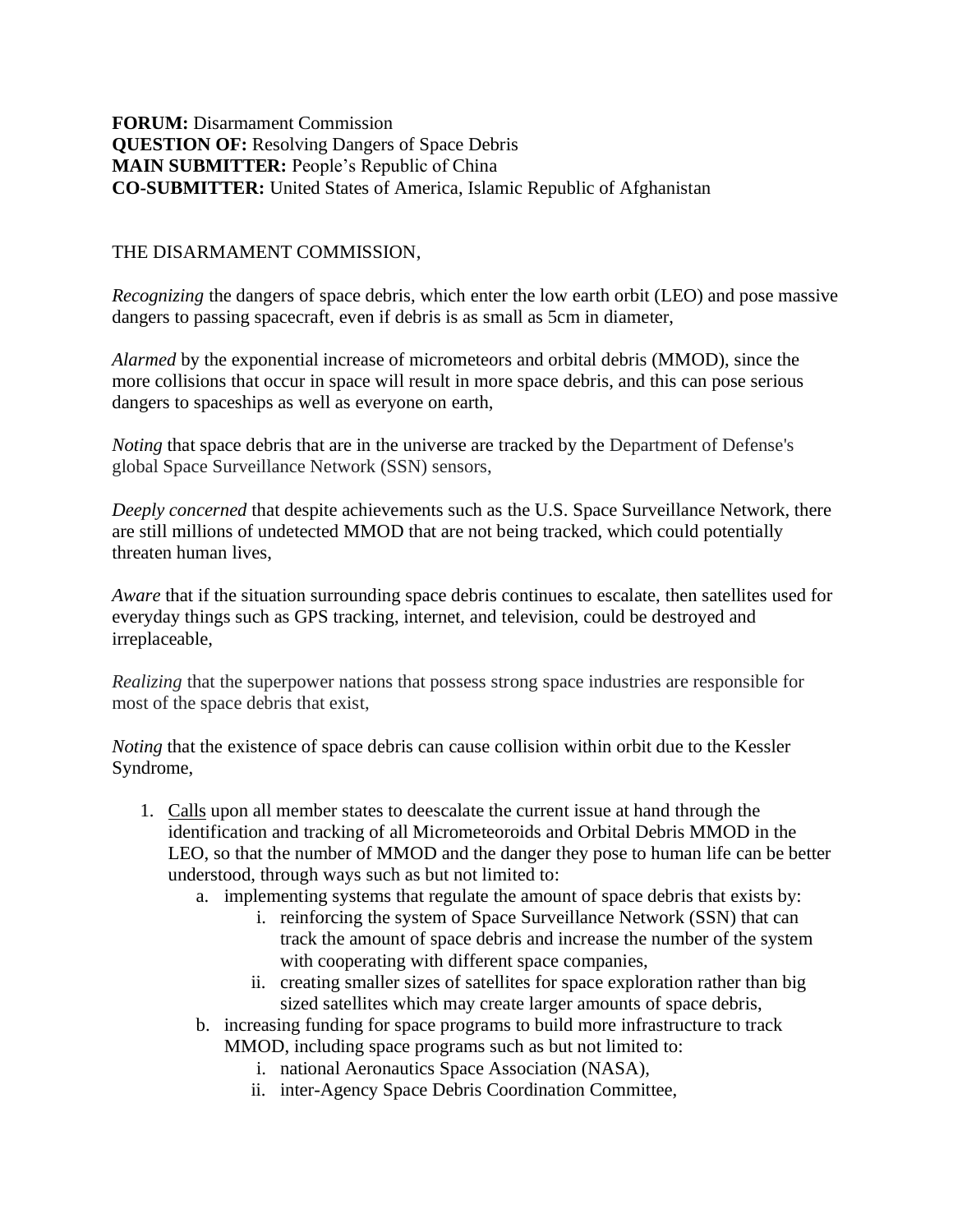## **FORUM:** Disarmament Commission **QUESTION OF:** Resolving Dangers of Space Debris **MAIN SUBMITTER:** People's Republic of China **CO-SUBMITTER:** United States of America, Islamic Republic of Afghanistan

## THE DISARMAMENT COMMISSION,

*Recognizing* the dangers of space debris, which enter the low earth orbit (LEO) and pose massive dangers to passing spacecraft, even if debris is as small as 5cm in diameter,

*Alarmed* by the exponential increase of micrometeors and orbital debris (MMOD), since the more collisions that occur in space will result in more space debris, and this can pose serious dangers to spaceships as well as everyone on earth,

*Noting* that space debris that are in the universe are tracked by the Department of Defense's global Space Surveillance Network (SSN) sensors,

*Deeply concerned* that despite achievements such as the U.S. Space Surveillance Network, there are still millions of undetected MMOD that are not being tracked, which could potentially threaten human lives,

*Aware* that if the situation surrounding space debris continues to escalate, then satellites used for everyday things such as GPS tracking, internet, and television, could be destroyed and irreplaceable,

*Realizing* that the superpower nations that possess strong space industries are responsible for most of the space debris that exist,

*Noting* that the existence of space debris can cause collision within orbit due to the Kessler Syndrome,

- 1. Calls upon all member states to deescalate the current issue at hand through the identification and tracking of all Micrometeoroids and Orbital Debris MMOD in the LEO, so that the number of MMOD and the danger they pose to human life can be better understood, through ways such as but not limited to:
	- a. implementing systems that regulate the amount of space debris that exists by:
		- i. reinforcing the system of Space Surveillance Network (SSN) that can track the amount of space debris and increase the number of the system with cooperating with different space companies,
		- ii. creating smaller sizes of satellites for space exploration rather than big sized satellites which may create larger amounts of space debris,
	- b. increasing funding for space programs to build more infrastructure to track MMOD, including space programs such as but not limited to:
		- i. national Aeronautics Space Association (NASA),
		- ii. inter-Agency Space Debris Coordination Committee,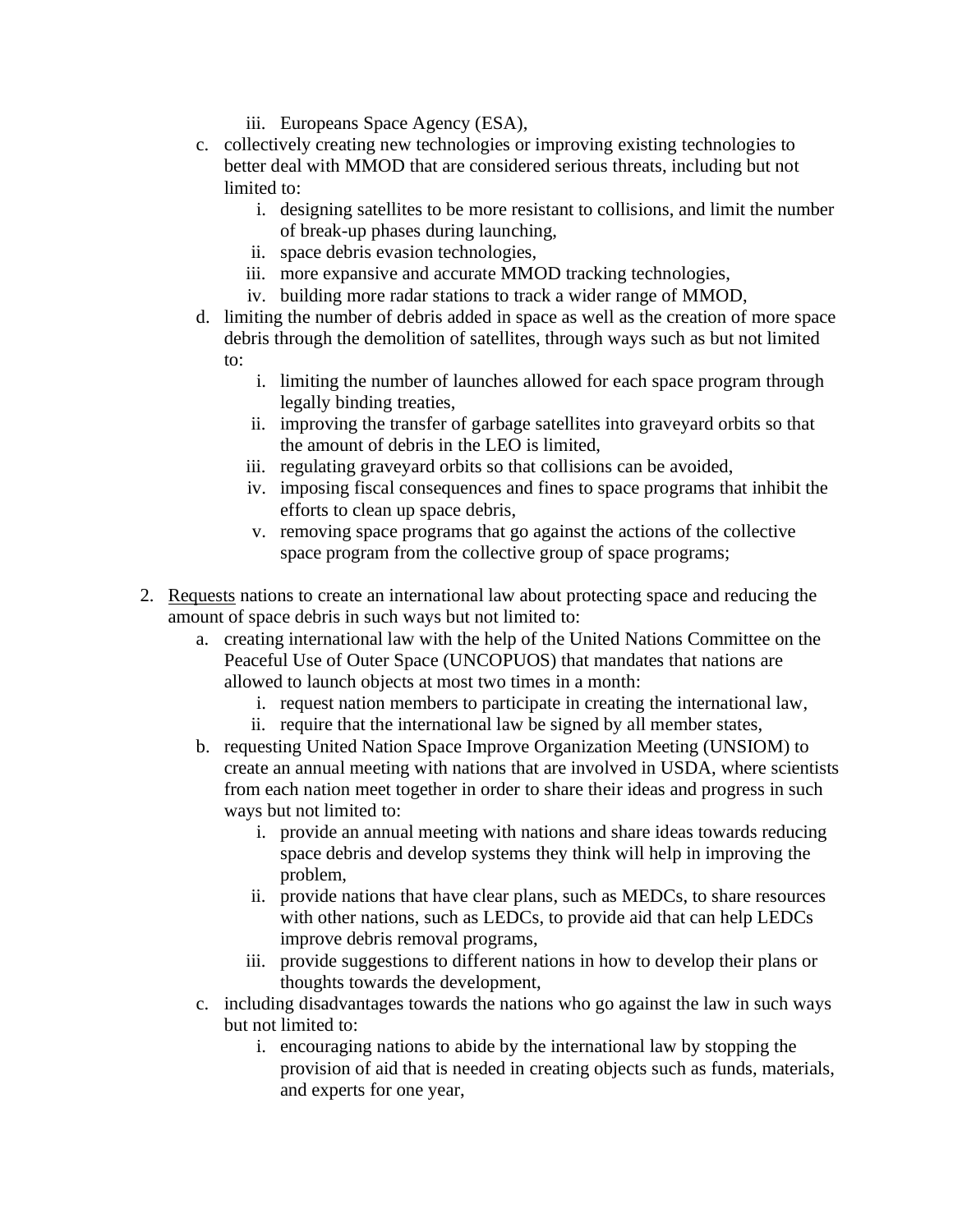- iii. Europeans Space Agency (ESA),
- c. collectively creating new technologies or improving existing technologies to better deal with MMOD that are considered serious threats, including but not limited to:
	- i. designing satellites to be more resistant to collisions, and limit the number of break-up phases during launching,
	- ii. space debris evasion technologies,
	- iii. more expansive and accurate MMOD tracking technologies,
	- iv. building more radar stations to track a wider range of MMOD,
- d. limiting the number of debris added in space as well as the creation of more space debris through the demolition of satellites, through ways such as but not limited to:
	- i. limiting the number of launches allowed for each space program through legally binding treaties,
	- ii. improving the transfer of garbage satellites into graveyard orbits so that the amount of debris in the LEO is limited,
	- iii. regulating graveyard orbits so that collisions can be avoided,
	- iv. imposing fiscal consequences and fines to space programs that inhibit the efforts to clean up space debris,
	- v. removing space programs that go against the actions of the collective space program from the collective group of space programs;
- 2. Requests nations to create an international law about protecting space and reducing the amount of space debris in such ways but not limited to:
	- a. creating international law with the help of the United Nations Committee on the Peaceful Use of Outer Space (UNCOPUOS) that mandates that nations are allowed to launch objects at most two times in a month:
		- i. request nation members to participate in creating the international law,
		- ii. require that the international law be signed by all member states,
	- b. requesting United Nation Space Improve Organization Meeting (UNSIOM) to create an annual meeting with nations that are involved in USDA, where scientists from each nation meet together in order to share their ideas and progress in such ways but not limited to:
		- i. provide an annual meeting with nations and share ideas towards reducing space debris and develop systems they think will help in improving the problem,
		- ii. provide nations that have clear plans, such as MEDCs, to share resources with other nations, such as LEDCs, to provide aid that can help LEDCs improve debris removal programs,
		- iii. provide suggestions to different nations in how to develop their plans or thoughts towards the development,
	- c. including disadvantages towards the nations who go against the law in such ways but not limited to:
		- i. encouraging nations to abide by the international law by stopping the provision of aid that is needed in creating objects such as funds, materials, and experts for one year,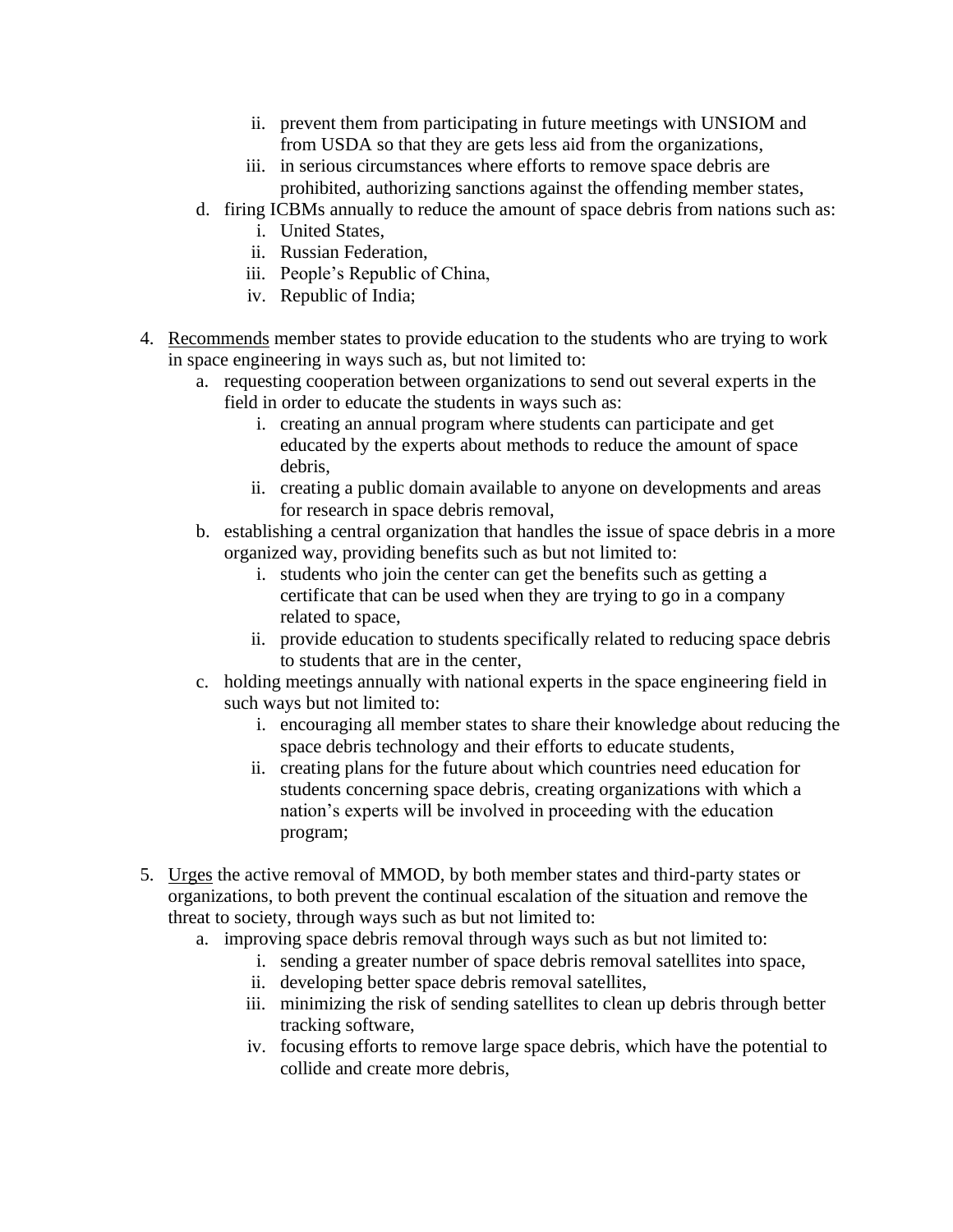- ii. prevent them from participating in future meetings with UNSIOM and from USDA so that they are gets less aid from the organizations,
- iii. in serious circumstances where efforts to remove space debris are prohibited, authorizing sanctions against the offending member states,
- d. firing ICBMs annually to reduce the amount of space debris from nations such as:
	- i. United States,
	- ii. Russian Federation,
	- iii. People's Republic of China,
	- iv. Republic of India;
- 4. Recommends member states to provide education to the students who are trying to work in space engineering in ways such as, but not limited to:
	- a. requesting cooperation between organizations to send out several experts in the field in order to educate the students in ways such as:
		- i. creating an annual program where students can participate and get educated by the experts about methods to reduce the amount of space debris,
		- ii. creating a public domain available to anyone on developments and areas for research in space debris removal,
	- b. establishing a central organization that handles the issue of space debris in a more organized way, providing benefits such as but not limited to:
		- i. students who join the center can get the benefits such as getting a certificate that can be used when they are trying to go in a company related to space,
		- ii. provide education to students specifically related to reducing space debris to students that are in the center,
	- c. holding meetings annually with national experts in the space engineering field in such ways but not limited to:
		- i. encouraging all member states to share their knowledge about reducing the space debris technology and their efforts to educate students,
		- ii. creating plans for the future about which countries need education for students concerning space debris, creating organizations with which a nation's experts will be involved in proceeding with the education program;
- 5. Urges the active removal of MMOD, by both member states and third-party states or organizations, to both prevent the continual escalation of the situation and remove the threat to society, through ways such as but not limited to:
	- a. improving space debris removal through ways such as but not limited to:
		- i. sending a greater number of space debris removal satellites into space,
		- ii. developing better space debris removal satellites,
		- iii. minimizing the risk of sending satellites to clean up debris through better tracking software,
		- iv. focusing efforts to remove large space debris, which have the potential to collide and create more debris,